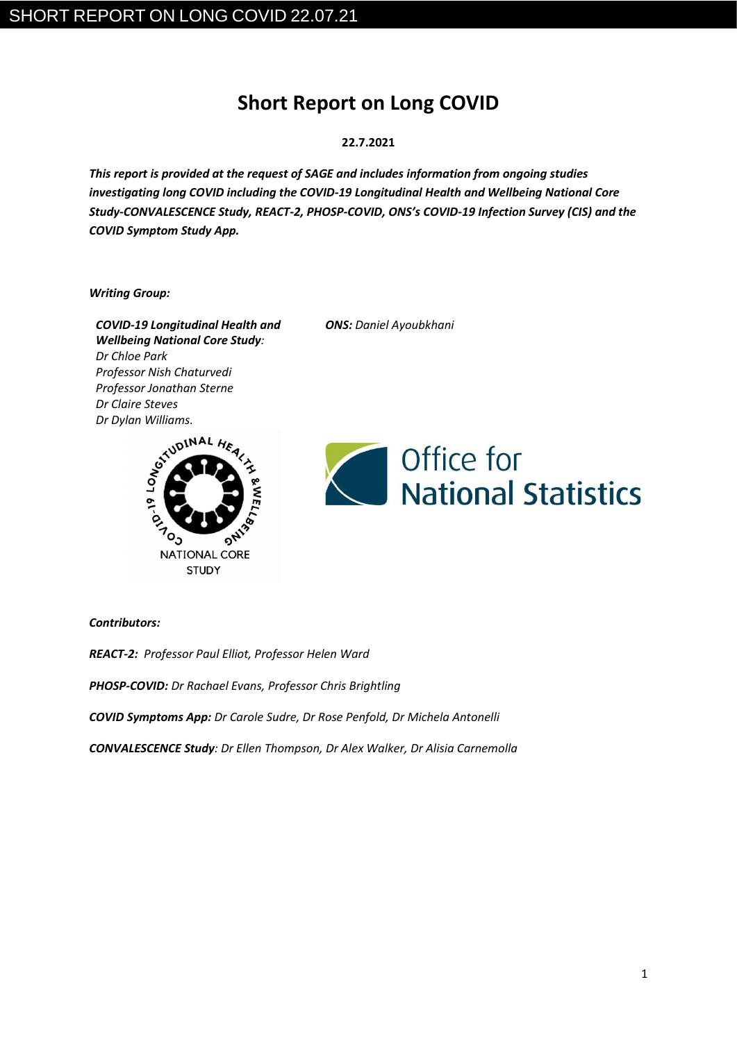# **Short Report on Long COVID**

### **22.7.2021**

*This report is provided at the request of SAGE and includes information from ongoing studies investigating long COVID including the COVID-19 Longitudinal Health and Wellbeing National Core Study-CONVALESCENCE Study, REACT-2, PHOSP-COVID, ONS's COVID-19 Infection Survey (CIS) and the COVID Symptom Study App.* 

*Writing Group:* 

*COVID-19 Longitudinal Health and Wellbeing National Core Study: Dr Chloe Park Professor Nish Chaturvedi Professor Jonathan Sterne Dr Dylan Williams.* 



*ONS: Daniel Ayoubkhani* 



*Contributors:*

*REACT-2: Professor Paul Elliot, Professor Helen Ward*

*PHOSP-COVID: Dr Rachael Evans, Professor Chris Brightling*

*COVID Symptoms App: Dr Carole Sudre, Dr Rose Penfold, Dr Michela Antonelli*

*CONVALESCENCE Study: Dr Ellen Thompson, Dr Alex Walker, Dr Alisia Carnemolla*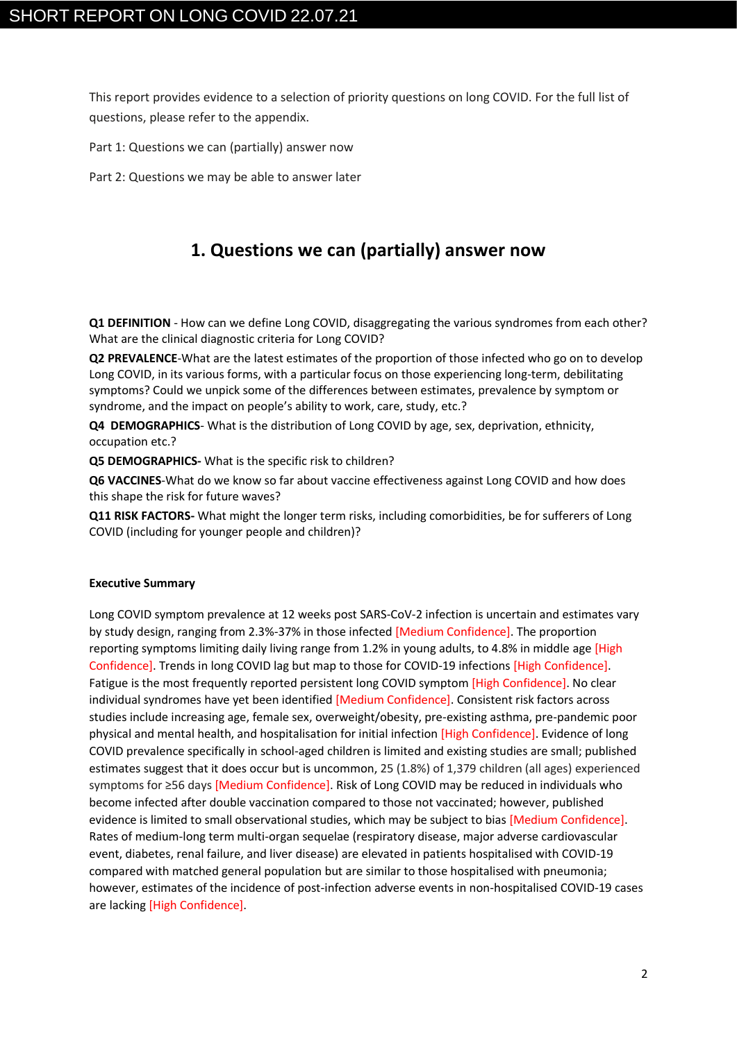This report provides evidence to a selection of priority questions on long COVID. For the full list of questions, please refer to the appendix.

Part 1: Questions we can (partially) answer now

Part 2: Questions we may be able to answer later

# **1. Questions we can (partially) answer now**

**Q1 DEFINITION** - How can we define Long COVID, disaggregating the various syndromes from each other? What are the clinical diagnostic criteria for Long COVID?

**Q2 PREVALENCE**-What are the latest estimates of the proportion of those infected who go on to develop Long COVID, in its various forms, with a particular focus on those experiencing long-term, debilitating symptoms? Could we unpick some of the differences between estimates, prevalence by symptom or syndrome, and the impact on people's ability to work, care, study, etc.?

**Q4 DEMOGRAPHICS**- What is the distribution of Long COVID by age, sex, deprivation, ethnicity, occupation etc.?

**Q5 DEMOGRAPHICS-** What is the specific risk to children?

**Q6 VACCINES**-What do we know so far about vaccine effectiveness against Long COVID and how does this shape the risk for future waves?

**Q11 RISK FACTORS-** What might the longer term risks, including comorbidities, be for sufferers of Long COVID (including for younger people and children)?

#### **Executive Summary**

Long COVID symptom prevalence at 12 weeks post SARS-CoV-2 infection is uncertain and estimates vary by study design, ranging from 2.3%-37% in those infected [Medium Confidence]. The proportion reporting symptoms limiting daily living range from 1.2% in young adults, to 4.8% in middle age [High Confidence]. Trends in long COVID lag but map to those for COVID-19 infections [High Confidence]. Fatigue is the most frequently reported persistent long COVID symptom [High Confidence]. No clear individual syndromes have yet been identified [Medium Confidence]. Consistent risk factors across studies include increasing age, female sex, overweight/obesity, pre-existing asthma, pre-pandemic poor physical and mental health, and hospitalisation for initial infection [High Confidence]. Evidence of long COVID prevalence specifically in school-aged children is limited and existing studies are small; published estimates suggest that it does occur but is uncommon, 25 (1.8%) of 1,379 children (all ages) experienced symptoms for ≥56 days [Medium Confidence]. Risk of Long COVID may be reduced in individuals who become infected after double vaccination compared to those not vaccinated; however, published evidence is limited to small observational studies, which may be subject to bias [Medium Confidence]. Rates of medium-long term multi-organ sequelae (respiratory disease, major adverse cardiovascular event, diabetes, renal failure, and liver disease) are elevated in patients hospitalised with COVID-19 compared with matched general population but are similar to those hospitalised with pneumonia; however, estimates of the incidence of post-infection adverse events in non-hospitalised COVID-19 cases are lacking [High Confidence].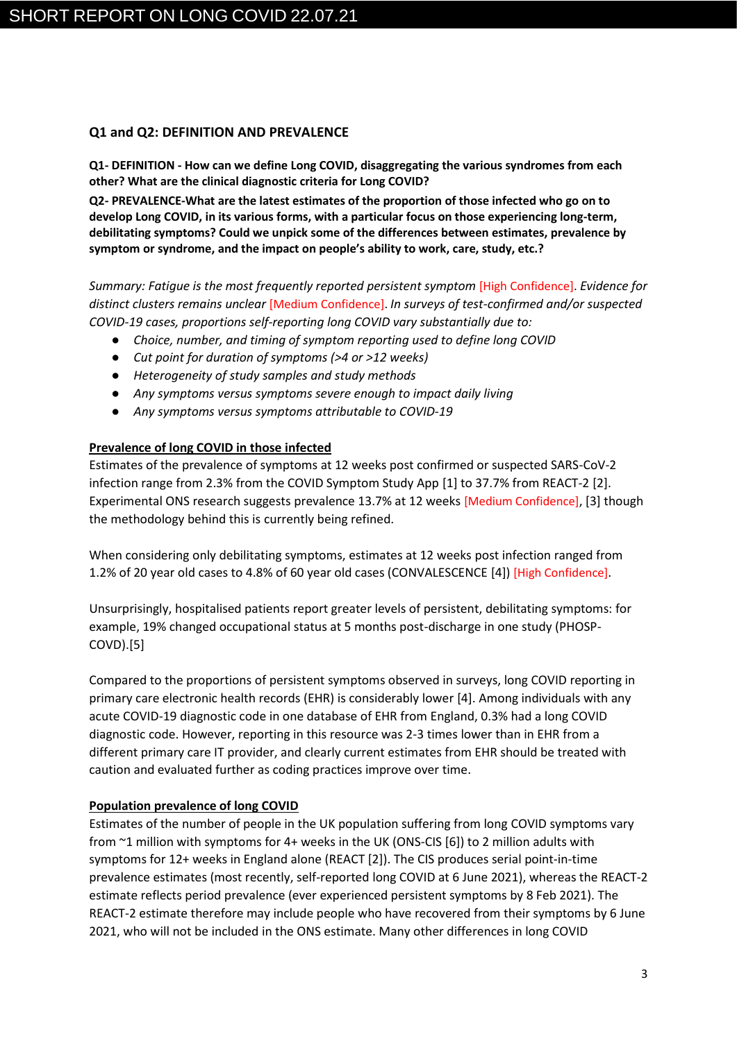### **Q1 and Q2: DEFINITION AND PREVALENCE**

**Q1- DEFINITION - How can we define Long COVID, disaggregating the various syndromes from each other? What are the clinical diagnostic criteria for Long COVID?** 

**Q2- PREVALENCE-What are the latest estimates of the proportion of those infected who go on to develop Long COVID, in its various forms, with a particular focus on those experiencing long-term, debilitating symptoms? Could we unpick some of the differences between estimates, prevalence by symptom or syndrome, and the impact on people's ability to work, care, study, etc.?** 

*Summary: Fatigue is the most frequently reported persistent symptom* [High Confidence]. *Evidence for distinct clusters remains unclear* [Medium Confidence]. *In surveys of test-confirmed and/or suspected COVID-19 cases, proportions self-reporting long COVID vary substantially due to:*

- *Choice, number, and timing of symptom reporting used to define long COVID*
- *Cut point for duration of symptoms (>4 or >12 weeks)*
- *Heterogeneity of study samples and study methods*
- *Any symptoms versus symptoms severe enough to impact daily living*
- *Any symptoms versus symptoms attributable to COVID-19*

### **Prevalence of long COVID in those infected**

Estimates of the prevalence of symptoms at 12 weeks post confirmed or suspected SARS-CoV-2 infection range from 2.3% from the COVID Symptom Study App [1] to 37.7% from REACT-2 [2]. Experimental ONS research suggests prevalence 13.7% at 12 weeks [Medium Confidence], [3] though the methodology behind this is currently being refined.

When considering only debilitating symptoms, estimates at 12 weeks post infection ranged from 1.2% of 20 year old cases to 4.8% of 60 year old cases (CONVALESCENCE [4]) [High Confidence].

Unsurprisingly, hospitalised patients report greater levels of persistent, debilitating symptoms: for example, 19% changed occupational status at 5 months post-discharge in one study (PHOSP-COVD).[5]

Compared to the proportions of persistent symptoms observed in surveys, long COVID reporting in primary care electronic health records (EHR) is considerably lower [4]. Among individuals with any acute COVID-19 diagnostic code in one database of EHR from England, 0.3% had a long COVID diagnostic code. However, reporting in this resource was 2-3 times lower than in EHR from a different primary care IT provider, and clearly current estimates from EHR should be treated with caution and evaluated further as coding practices improve over time.

### **Population prevalence of long COVID**

Estimates of the number of people in the UK population suffering from long COVID symptoms vary from ~1 million with symptoms for 4+ weeks in the UK (ONS-CIS [6]) to 2 million adults with symptoms for 12+ weeks in England alone (REACT [2]). The CIS produces serial point-in-time prevalence estimates (most recently, self-reported long COVID at 6 June 2021), whereas the REACT-2 estimate reflects period prevalence (ever experienced persistent symptoms by 8 Feb 2021). The REACT-2 estimate therefore may include people who have recovered from their symptoms by 6 June 2021, who will not be included in the ONS estimate. Many other differences in long COVID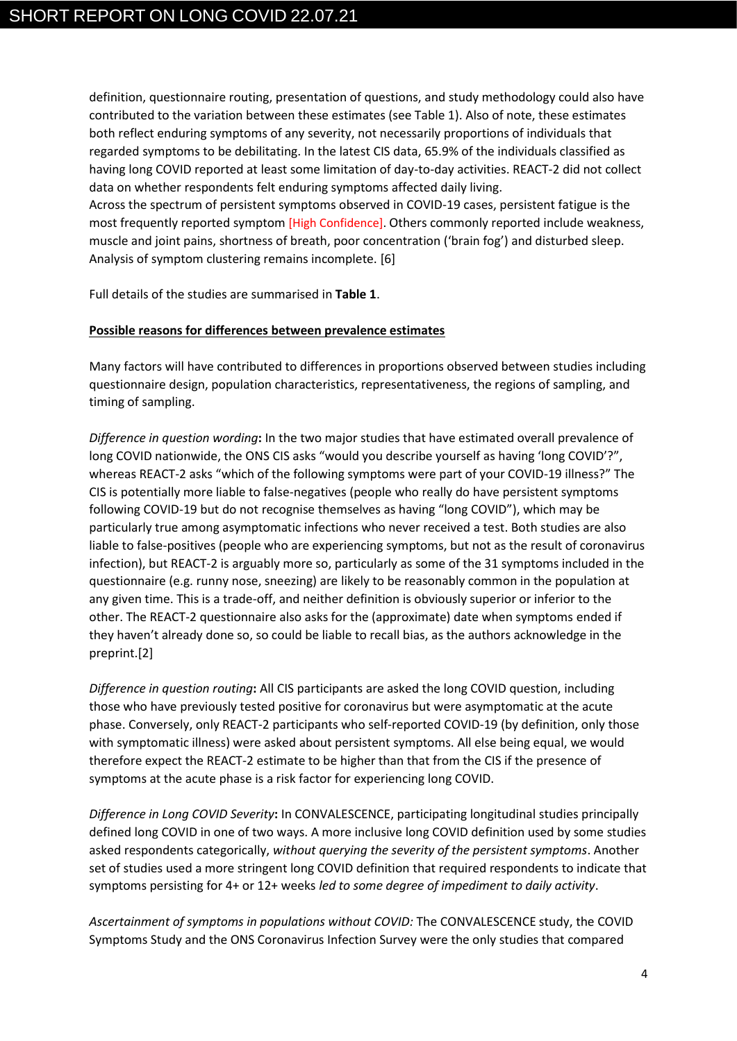definition, questionnaire routing, presentation of questions, and study methodology could also have contributed to the variation between these estimates (see Table 1). Also of note, these estimates both reflect enduring symptoms of any severity, not necessarily proportions of individuals that regarded symptoms to be debilitating. In the latest CIS data, 65.9% of the individuals classified as having long COVID reported at least some limitation of day-to-day activities. REACT-2 did not collect data on whether respondents felt enduring symptoms affected daily living.

Across the spectrum of persistent symptoms observed in COVID-19 cases, persistent fatigue is the most frequently reported symptom [High Confidence]. Others commonly reported include weakness, muscle and joint pains, shortness of breath, poor concentration ('brain fog') and disturbed sleep. Analysis of symptom clustering remains incomplete. [6]

Full details of the studies are summarised in **Table 1**.

### **Possible reasons for differences between prevalence estimates**

Many factors will have contributed to differences in proportions observed between studies including questionnaire design, population characteristics, representativeness, the regions of sampling, and timing of sampling.

*Difference in question wording***:** In the two major studies that have estimated overall prevalence of long COVID nationwide, the ONS CIS asks "would you describe yourself as having 'long COVID'?", whereas REACT-2 asks "which of the following symptoms were part of your COVID-19 illness?" The CIS is potentially more liable to false-negatives (people who really do have persistent symptoms following COVID-19 but do not recognise themselves as having "long COVID"), which may be particularly true among asymptomatic infections who never received a test. Both studies are also liable to false-positives (people who are experiencing symptoms, but not as the result of coronavirus infection), but REACT-2 is arguably more so, particularly as some of the 31 symptoms included in the questionnaire (e.g. runny nose, sneezing) are likely to be reasonably common in the population at any given time. This is a trade-off, and neither definition is obviously superior or inferior to the other. The REACT-2 questionnaire also asks for the (approximate) date when symptoms ended if they haven't already done so, so could be liable to recall bias, as the authors acknowledge in the preprint.[2]

*Difference in question routing***:** All CIS participants are asked the long COVID question, including those who have previously tested positive for coronavirus but were asymptomatic at the acute phase. Conversely, only REACT-2 participants who self-reported COVID-19 (by definition, only those with symptomatic illness) were asked about persistent symptoms. All else being equal, we would therefore expect the REACT-2 estimate to be higher than that from the CIS if the presence of symptoms at the acute phase is a risk factor for experiencing long COVID.

*Difference in Long COVID Severity***:** In CONVALESCENCE, participating longitudinal studies principally defined long COVID in one of two ways. A more inclusive long COVID definition used by some studies asked respondents categorically, *without querying the severity of the persistent symptoms*. Another set of studies used a more stringent long COVID definition that required respondents to indicate that symptoms persisting for 4+ or 12+ weeks *led to some degree of impediment to daily activity*.

*Ascertainment of symptoms in populations without COVID:* The CONVALESCENCE study, the COVID Symptoms Study and the ONS Coronavirus Infection Survey were the only studies that compared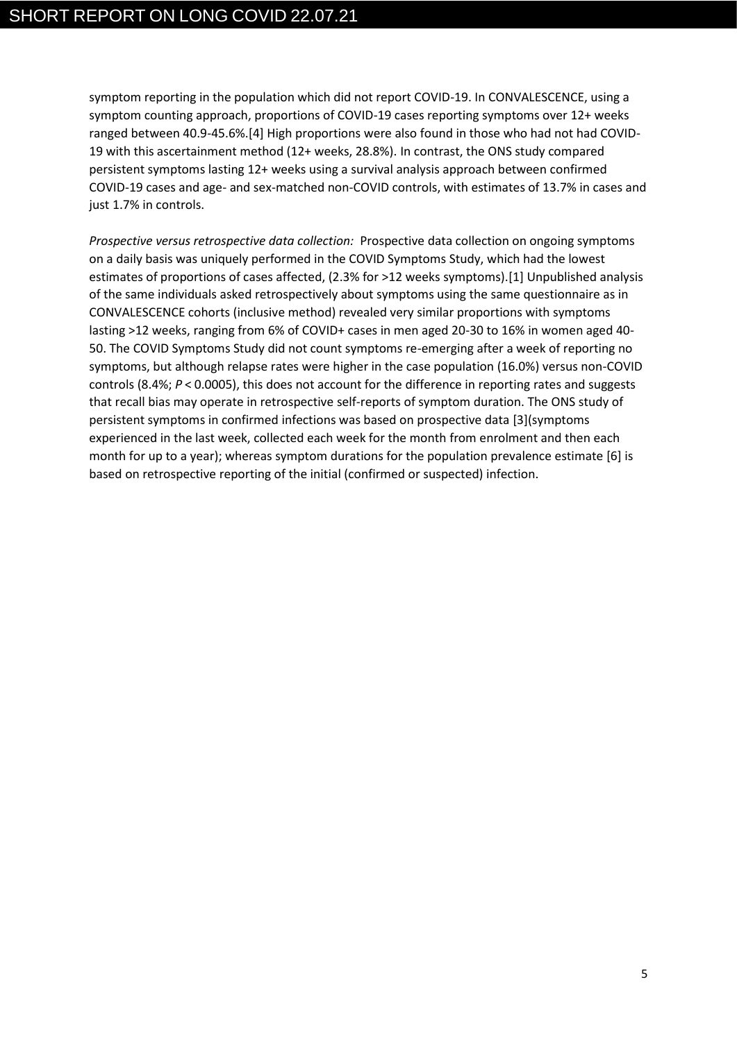symptom reporting in the population which did not report COVID-19. In CONVALESCENCE, using a symptom counting approach, proportions of COVID-19 cases reporting symptoms over 12+ weeks ranged between 40.9-45.6%.[4] High proportions were also found in those who had not had COVID-19 with this ascertainment method (12+ weeks, 28.8%). In contrast, the ONS study compared persistent symptoms lasting 12+ weeks using a survival analysis approach between confirmed COVID-19 cases and age- and sex-matched non-COVID controls, with estimates of 13.7% in cases and just 1.7% in controls.

*Prospective versus retrospective data collection:* Prospective data collection on ongoing symptoms on a daily basis was uniquely performed in the COVID Symptoms Study, which had the lowest estimates of proportions of cases affected, (2.3% for >12 weeks symptoms).[1] Unpublished analysis of the same individuals asked retrospectively about symptoms using the same questionnaire as in CONVALESCENCE cohorts (inclusive method) revealed very similar proportions with symptoms lasting >12 weeks, ranging from 6% of COVID+ cases in men aged 20-30 to 16% in women aged 40- 50. The COVID Symptoms Study did not count symptoms re-emerging after a week of reporting no symptoms, but although relapse rates were higher in the case population (16.0%) versus non-COVID controls (8.4%; *P* < 0.0005), this does not account for the difference in reporting rates and suggests that recall bias may operate in retrospective self-reports of symptom duration. The ONS study of persistent symptoms in confirmed infections was based on prospective data [3](symptoms experienced in the last week, collected each week for the month from enrolment and then each month for up to a year); whereas symptom durations for the population prevalence estimate [6] is based on retrospective reporting of the initial (confirmed or suspected) infection.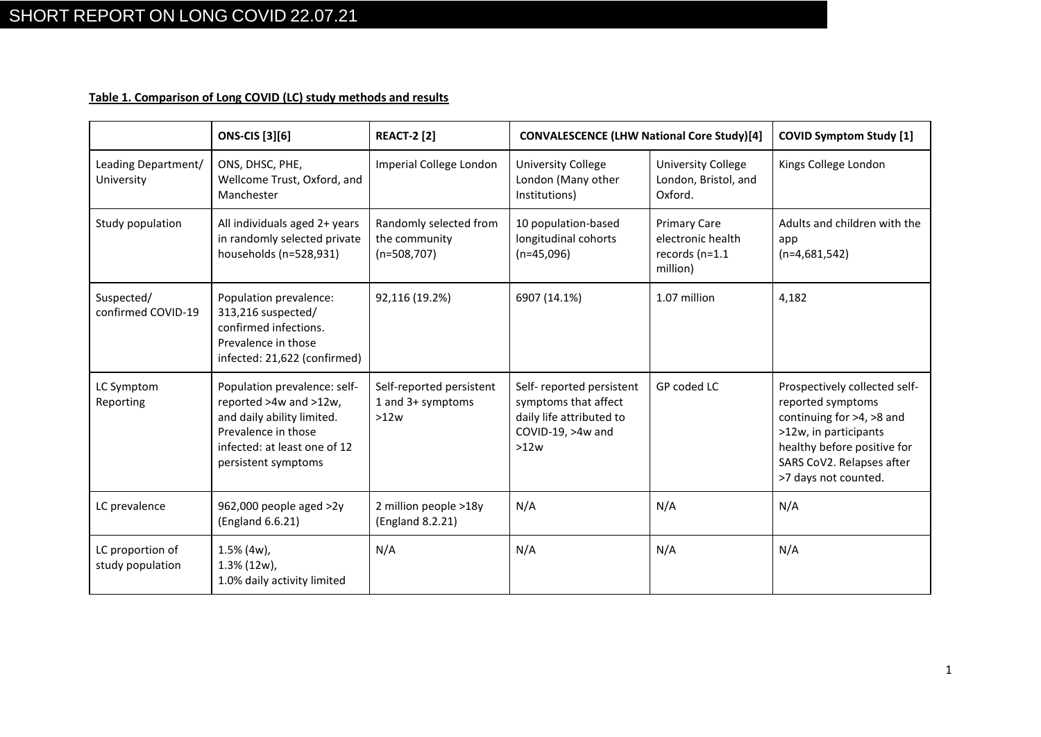# **Table 1. Comparison of Long COVID (LC) study methods and results**

|                                      | <b>ONS-CIS</b> [3][6]                                                                                                                                              | <b>REACT-2 [2]</b>                                       | <b>CONVALESCENCE (LHW National Core Study)[4]</b>                                                         |                                                                        | <b>COVID Symptom Study [1]</b>                                                                                                                                                               |  |
|--------------------------------------|--------------------------------------------------------------------------------------------------------------------------------------------------------------------|----------------------------------------------------------|-----------------------------------------------------------------------------------------------------------|------------------------------------------------------------------------|----------------------------------------------------------------------------------------------------------------------------------------------------------------------------------------------|--|
| Leading Department/<br>University    | ONS, DHSC, PHE,<br>Wellcome Trust, Oxford, and<br>Manchester                                                                                                       | Imperial College London                                  | <b>University College</b><br>London (Many other<br>Institutions)                                          | <b>University College</b><br>London, Bristol, and<br>Oxford.           | Kings College London                                                                                                                                                                         |  |
| Study population                     | All individuals aged 2+ years<br>in randomly selected private<br>households (n=528,931)                                                                            | Randomly selected from<br>the community<br>$(n=508,707)$ | 10 population-based<br>longitudinal cohorts<br>$(n=45,096)$                                               | <b>Primary Care</b><br>electronic health<br>records (n=1.1<br>million) | Adults and children with the<br>app<br>$(n=4,681,542)$                                                                                                                                       |  |
| Suspected/<br>confirmed COVID-19     | Population prevalence:<br>313,216 suspected/<br>confirmed infections.<br>Prevalence in those<br>infected: 21,622 (confirmed)                                       | 92,116 (19.2%)                                           | 6907 (14.1%)                                                                                              | 1.07 million                                                           | 4,182                                                                                                                                                                                        |  |
| LC Symptom<br>Reporting              | Population prevalence: self-<br>reported >4w and >12w,<br>and daily ability limited.<br>Prevalence in those<br>infected: at least one of 12<br>persistent symptoms | Self-reported persistent<br>1 and 3+ symptoms<br>>12w    | Self-reported persistent<br>symptoms that affect<br>daily life attributed to<br>COVID-19, >4w and<br>>12w | GP coded LC                                                            | Prospectively collected self-<br>reported symptoms<br>continuing for >4, >8 and<br>>12w, in participants<br>healthy before positive for<br>SARS CoV2. Relapses after<br>>7 days not counted. |  |
| LC prevalence                        | 962,000 people aged >2y<br>(England 6.6.21)                                                                                                                        | 2 million people >18y<br>(England 8.2.21)                | N/A<br>N/A<br>N/A                                                                                         |                                                                        |                                                                                                                                                                                              |  |
| LC proportion of<br>study population | $1.5\%$ (4w),<br>$1.3\%$ (12w),<br>1.0% daily activity limited                                                                                                     | N/A                                                      | N/A                                                                                                       | N/A                                                                    | N/A                                                                                                                                                                                          |  |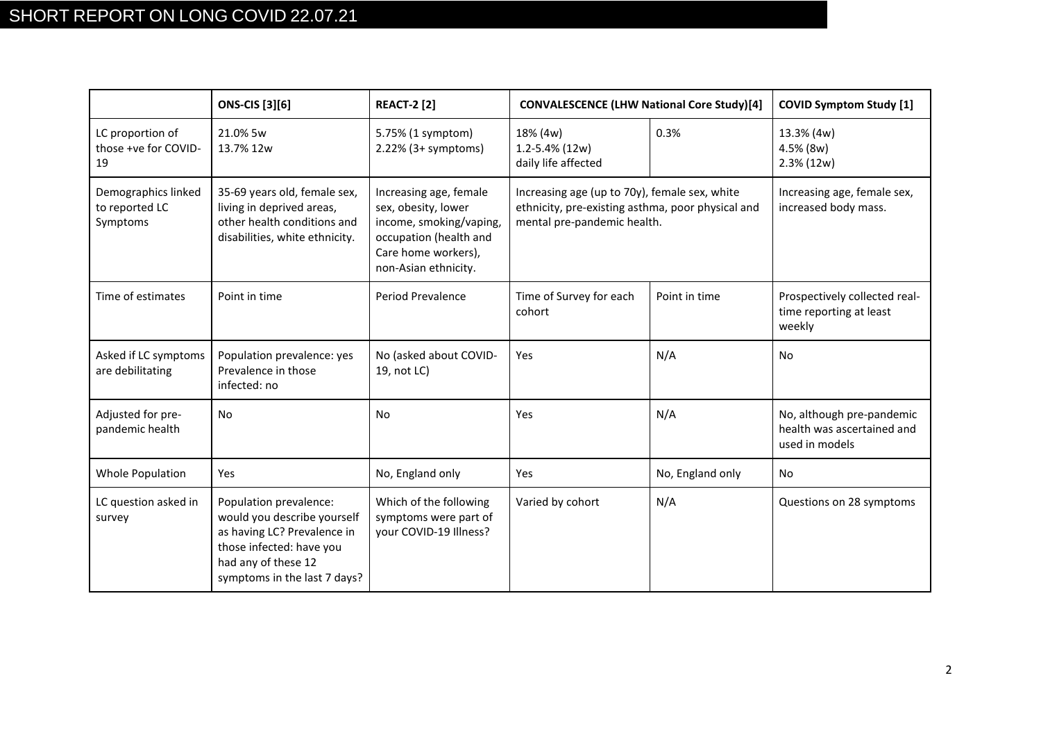|                                                   | <b>ONS-CIS</b> [3][6]                                                                                                                                                   | <b>REACT-2 [2]</b>                                                                                                                                | <b>CONVALESCENCE (LHW National Core Study)[4]</b>                                                                                 |                  | <b>COVID Symptom Study [1]</b>                                            |  |
|---------------------------------------------------|-------------------------------------------------------------------------------------------------------------------------------------------------------------------------|---------------------------------------------------------------------------------------------------------------------------------------------------|-----------------------------------------------------------------------------------------------------------------------------------|------------------|---------------------------------------------------------------------------|--|
| LC proportion of<br>those +ve for COVID-<br>19    | 21.0% 5w<br>13.7% 12w                                                                                                                                                   | 5.75% (1 symptom)<br>$2.22\%$ (3+ symptoms)                                                                                                       | 18% (4w)<br>0.3%<br>1.2-5.4% (12w)<br>daily life affected                                                                         |                  | 13.3% (4w)<br>4.5% (8w)<br>$2.3\% (12w)$                                  |  |
| Demographics linked<br>to reported LC<br>Symptoms | 35-69 years old, female sex,<br>living in deprived areas,<br>other health conditions and<br>disabilities, white ethnicity.                                              | Increasing age, female<br>sex, obesity, lower<br>income, smoking/vaping,<br>occupation (health and<br>Care home workers),<br>non-Asian ethnicity. | Increasing age (up to 70y), female sex, white<br>ethnicity, pre-existing asthma, poor physical and<br>mental pre-pandemic health. |                  | Increasing age, female sex,<br>increased body mass.                       |  |
| Time of estimates                                 | Point in time                                                                                                                                                           | Period Prevalence                                                                                                                                 | Time of Survey for each<br>cohort                                                                                                 | Point in time    | Prospectively collected real-<br>time reporting at least<br>weekly        |  |
| Asked if LC symptoms<br>are debilitating          | Population prevalence: yes<br>Prevalence in those<br>infected: no                                                                                                       | No (asked about COVID-<br>19, not LC)                                                                                                             | Yes                                                                                                                               | N/A              | No                                                                        |  |
| Adjusted for pre-<br>pandemic health              | <b>No</b>                                                                                                                                                               | No.                                                                                                                                               | Yes                                                                                                                               | N/A              | No, although pre-pandemic<br>health was ascertained and<br>used in models |  |
| <b>Whole Population</b>                           | Yes                                                                                                                                                                     | No, England only                                                                                                                                  | Yes                                                                                                                               | No, England only | No                                                                        |  |
| LC question asked in<br>survey                    | Population prevalence:<br>would you describe yourself<br>as having LC? Prevalence in<br>those infected: have you<br>had any of these 12<br>symptoms in the last 7 days? | Which of the following<br>symptoms were part of<br>your COVID-19 Illness?                                                                         | Varied by cohort                                                                                                                  | N/A              | Questions on 28 symptoms                                                  |  |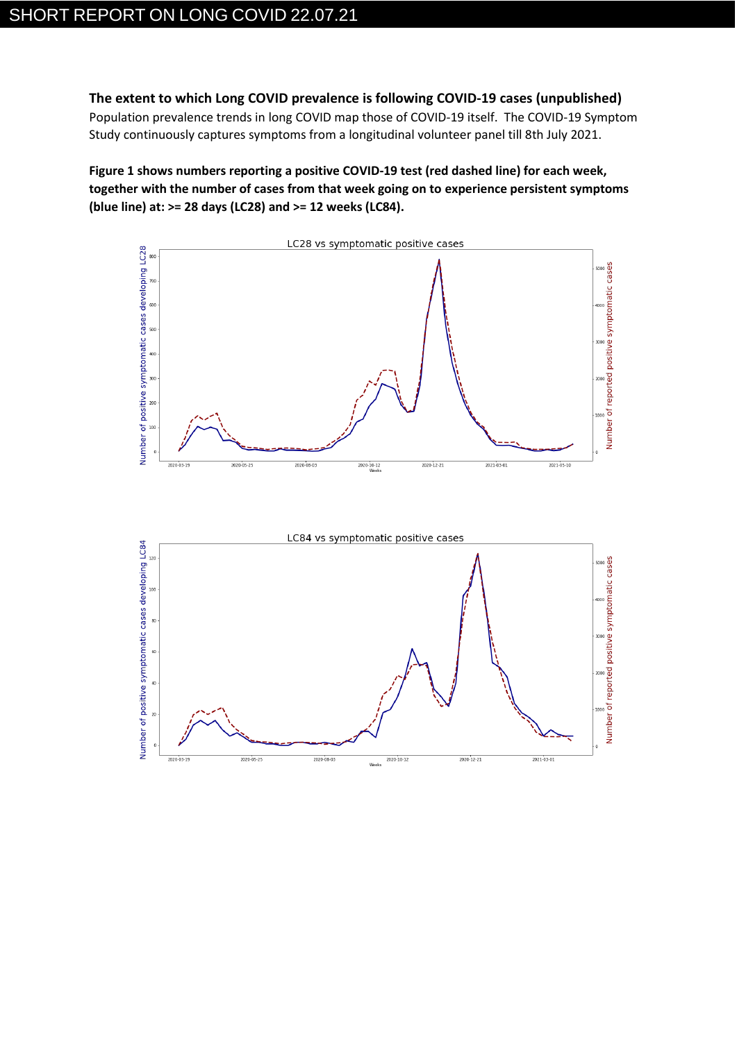**The extent to which Long COVID prevalence is following COVID-19 cases (unpublished)**

Population prevalence trends in long COVID map those of COVID-19 itself. The COVID-19 Symptom Study continuously captures symptoms from a longitudinal volunteer panel till 8th July 2021.

**Figure 1 shows numbers reporting a positive COVID-19 test (red dashed line) for each week, together with the number of cases from that week going on to experience persistent symptoms (blue line) at: >= 28 days (LC28) and >= 12 weeks (LC84).**



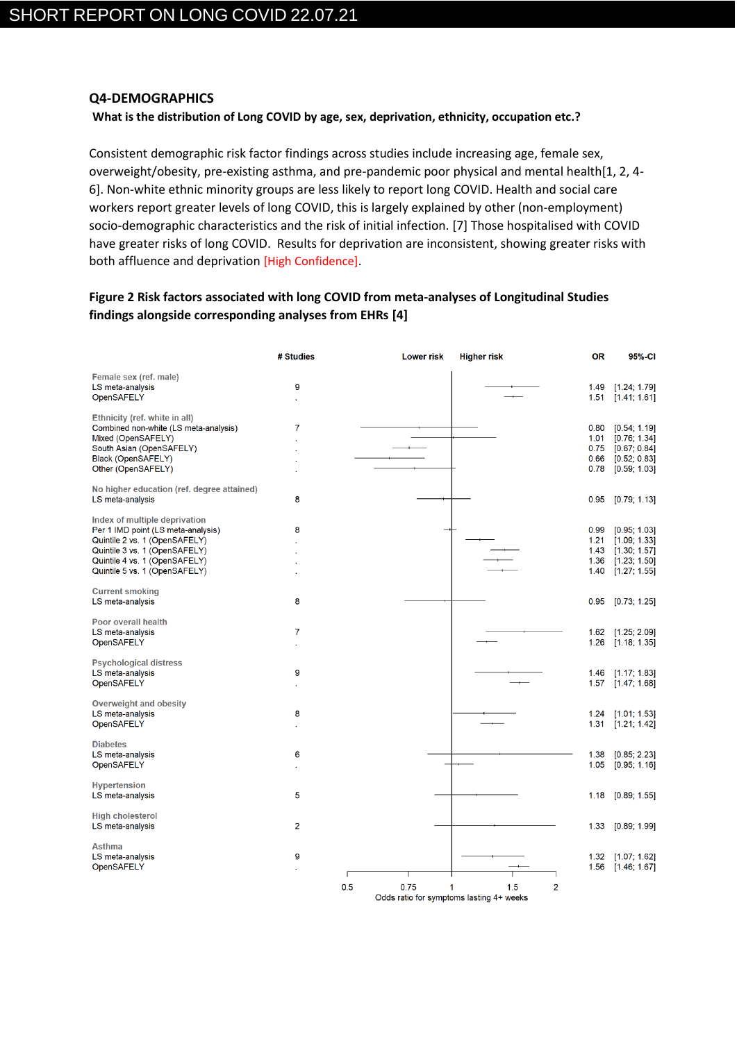### **Q4-DEMOGRAPHICS**

### **What is the distribution of Long COVID by age, sex, deprivation, ethnicity, occupation etc.?**

Consistent demographic risk factor findings across studies include increasing age, female sex, overweight/obesity, pre-existing asthma, and pre-pandemic poor physical and mental health[1, 2, 4- 6]. Non-white ethnic minority groups are less likely to report long COVID. Health and social care workers report greater levels of long COVID, this is largely explained by other (non-employment) socio-demographic characteristics and the risk of initial infection. [7] Those hospitalised with COVID have greater risks of long COVID. Results for deprivation are inconsistent, showing greater risks with both affluence and deprivation [High Confidence].

# **Figure 2 Risk factors associated with long COVID from meta-analyses of Longitudinal Studies findings alongside corresponding analyses from EHRs [4]**

|                                                                                                                                                                                                         | # Studies      | <b>Lower risk</b> | <b>Higher risk</b>                                                     | <b>OR</b>                            | 95%-CI                                                                       |
|---------------------------------------------------------------------------------------------------------------------------------------------------------------------------------------------------------|----------------|-------------------|------------------------------------------------------------------------|--------------------------------------|------------------------------------------------------------------------------|
| Female sex (ref. male)<br>LS meta-analysis<br>OpenSAFELY                                                                                                                                                | 9              |                   |                                                                        | 1.49<br>1.51                         | [1.24; 1.79]<br>[1.41; 1.61]                                                 |
| Ethnicity (ref. white in all)<br>Combined non-white (LS meta-analysis)<br>Mixed (OpenSAFELY)<br>South Asian (OpenSAFELY)<br>Black (OpenSAFELY)<br>Other (OpenSAFELY)                                    | 7              |                   |                                                                        | 0.80<br>1.01<br>0.75<br>0.66<br>0.78 | [0.54; 1.19]<br>[0.76; 1.34]<br>[0.67; 0.84]<br>[0.52; 0.83]<br>[0.59; 1.03] |
| No higher education (ref. degree attained)<br>LS meta-analysis                                                                                                                                          | 8              |                   |                                                                        | 0.95                                 | [0.79; 1.13]                                                                 |
| Index of multiple deprivation<br>Per 1 IMD point (LS meta-analysis)<br>Quintile 2 vs. 1 (OpenSAFELY)<br>Quintile 3 vs. 1 (OpenSAFELY)<br>Quintile 4 vs. 1 (OpenSAFELY)<br>Quintile 5 vs. 1 (OpenSAFELY) | 8              |                   |                                                                        | 0.99<br>1.21<br>1.43<br>1.36<br>1.40 | [0.95; 1.03]<br>[1.09; 1.33]<br>[1.30; 1.57]<br>[1.23; 1.50]<br>[1.27; 1.55] |
| <b>Current smoking</b><br>LS meta-analysis                                                                                                                                                              | 8              |                   |                                                                        | 0.95                                 | [0.73; 1.25]                                                                 |
| Poor overall health<br>LS meta-analysis<br>OpenSAFELY                                                                                                                                                   | 7              |                   |                                                                        | 1.62<br>1.26                         | [1.25; 2.09]<br>[1.18; 1.35]                                                 |
| <b>Psychological distress</b><br>LS meta-analysis<br>OpenSAFELY                                                                                                                                         | 9              |                   |                                                                        | 1.46<br>1.57                         | [1.17; 1.83]<br>[1.47; 1.68]                                                 |
| <b>Overweight and obesity</b><br>LS meta-analysis<br>OpenSAFELY                                                                                                                                         | 8              |                   |                                                                        | 1.24<br>1.31                         | [1.01; 1.53]<br>[1.21; 1.42]                                                 |
| <b>Diabetes</b><br>LS meta-analysis<br>OpenSAFELY                                                                                                                                                       | 6              |                   |                                                                        | 1.38<br>1.05                         | [0.85; 2.23]<br>[0.95; 1.16]                                                 |
| <b>Hypertension</b><br>LS meta-analysis                                                                                                                                                                 | 5              |                   |                                                                        | 1.18                                 | [0.89; 1.55]                                                                 |
| <b>High cholesterol</b><br>LS meta-analysis                                                                                                                                                             | $\overline{2}$ |                   |                                                                        | 1.33                                 | [0.89; 1.99]                                                                 |
| <b>Asthma</b><br>LS meta-analysis<br>OpenSAFELY                                                                                                                                                         | 9              |                   |                                                                        | 1.32<br>1.56                         | [1.07; 1.62]<br>[1.46, 1.67]                                                 |
|                                                                                                                                                                                                         |                | 0.5<br>0.75       | $\overline{2}$<br>1.5<br>1<br>Odds ratio for symptoms lasting 4+ weeks |                                      |                                                                              |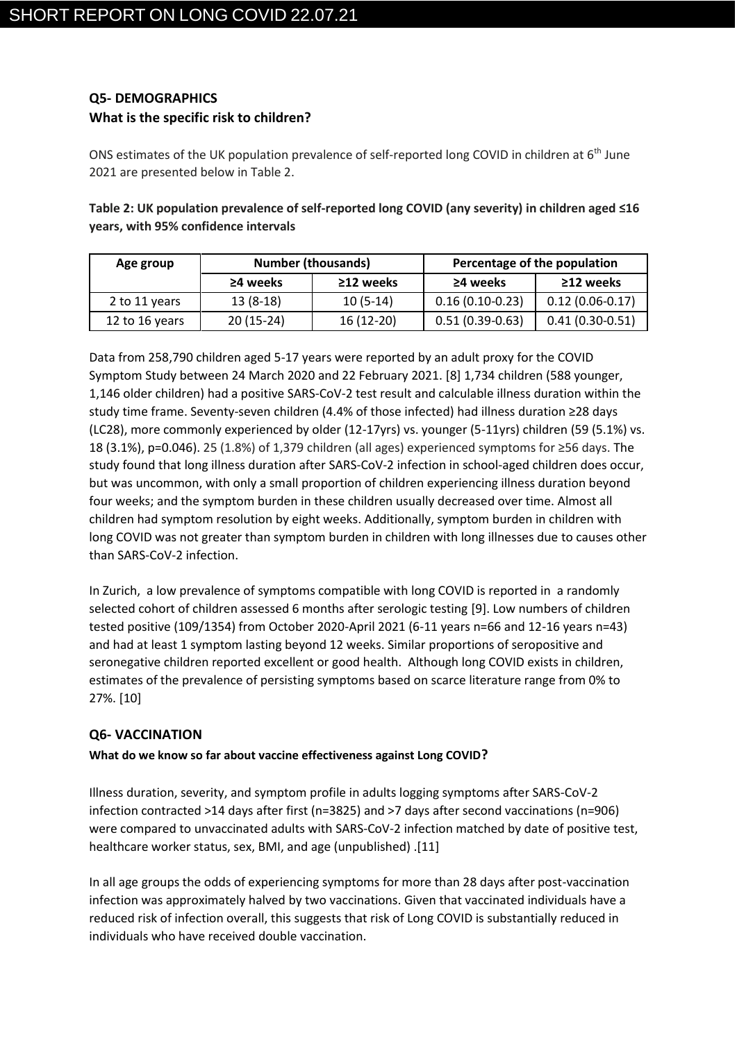# **Q5- DEMOGRAPHICS What is the specific risk to children?**

ONS estimates of the UK population prevalence of self-reported long COVID in children at 6<sup>th</sup> June 2021 are presented below in Table 2.

**Table 2: UK population prevalence of self-reported long COVID (any severity) in children aged ≤16 years, with 95% confidence intervals**

| Age group      | <b>Number (thousands)</b> |                 | Percentage of the population |                     |  |
|----------------|---------------------------|-----------------|------------------------------|---------------------|--|
|                | $\geq$ 4 weeks            | $\geq$ 12 weeks | $\geq$ 4 weeks               | $\geq$ 12 weeks     |  |
| 2 to 11 years  | $13(8-18)$                | $10(5-14)$      | $0.16(0.10-0.23)$            | $0.12(0.06 - 0.17)$ |  |
| 12 to 16 years | $20(15-24)$               | $16(12-20)$     | $0.51(0.39-0.63)$            | $0.41(0.30-0.51)$   |  |

Data from 258,790 children aged 5-17 years were reported by an adult proxy for the COVID Symptom Study between 24 March 2020 and 22 February 2021. [8] 1,734 children (588 younger, 1,146 older children) had a positive SARS-CoV-2 test result and calculable illness duration within the study time frame. Seventy-seven children (4.4% of those infected) had illness duration ≥28 days (LC28), more commonly experienced by older (12-17yrs) vs. younger (5-11yrs) children (59 (5.1%) vs. 18 (3.1%), p=0.046). 25 (1.8%) of 1,379 children (all ages) experienced symptoms for ≥56 days. The study found that long illness duration after SARS-CoV-2 infection in school-aged children does occur, but was uncommon, with only a small proportion of children experiencing illness duration beyond four weeks; and the symptom burden in these children usually decreased over time. Almost all children had symptom resolution by eight weeks. Additionally, symptom burden in children with long COVID was not greater than symptom burden in children with long illnesses due to causes other than SARS-CoV-2 infection.

In Zurich, a low prevalence of symptoms compatible with long COVID is reported in a randomly selected cohort of children assessed 6 months after serologic testing [9]. Low numbers of children tested positive (109/1354) from October 2020-April 2021 (6-11 years n=66 and 12-16 years n=43) and had at least 1 symptom lasting beyond 12 weeks. Similar proportions of seropositive and seronegative children reported excellent or good health. Although long COVID exists in children, estimates of the prevalence of persisting symptoms based on scarce literature range from 0% to 27%. [10]

# **Q6- VACCINATION**

## **What do we know so far about vaccine effectiveness against Long COVID?**

Illness duration, severity, and symptom profile in adults logging symptoms after SARS-CoV-2 infection contracted >14 days after first (n=3825) and >7 days after second vaccinations (n=906) were compared to unvaccinated adults with SARS-CoV-2 infection matched by date of positive test, healthcare worker status, sex, BMI, and age (unpublished) .[11]

In all age groups the odds of experiencing symptoms for more than 28 days after post-vaccination infection was approximately halved by two vaccinations. Given that vaccinated individuals have a reduced risk of infection overall, this suggests that risk of Long COVID is substantially reduced in individuals who have received double vaccination.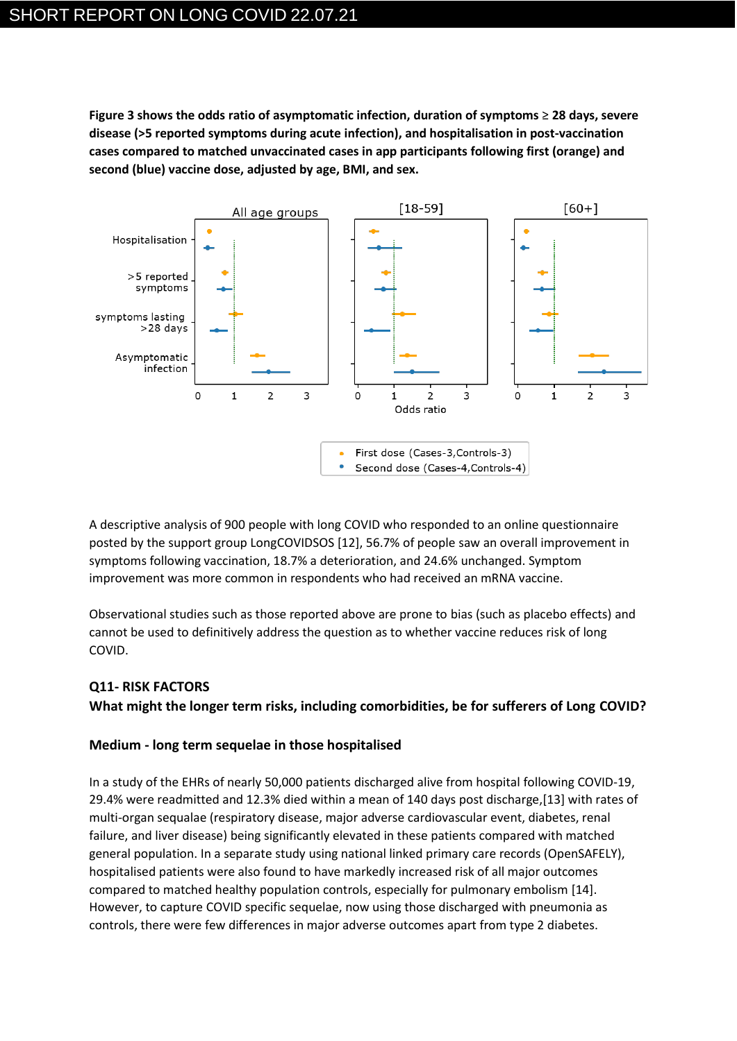**Figure 3 shows the odds ratio of asymptomatic infection, duration of symptoms** ≥ **28 days, severe disease (>5 reported symptoms during acute infection), and hospitalisation in post-vaccination cases compared to matched unvaccinated cases in app participants following first (orange) and second (blue) vaccine dose, adjusted by age, BMI, and sex.**



A descriptive analysis of 900 people with long COVID who responded to an online questionnaire posted by the support group LongCOVIDSOS [12], 56.7% of people saw an overall improvement in symptoms following vaccination, 18.7% a deterioration, and 24.6% unchanged. Symptom improvement was more common in respondents who had received an mRNA vaccine.

Observational studies such as those reported above are prone to bias (such as placebo effects) and cannot be used to definitively address the question as to whether vaccine reduces risk of long COVID.

# **Q11- RISK FACTORS**

**What might the longer term risks, including comorbidities, be for sufferers of Long COVID?**

## **Medium - long term sequelae in those hospitalised**

In a study of the EHRs of nearly 50,000 patients discharged alive from hospital following COVID-19, 29.4% were readmitted and 12.3% died within a mean of 140 days post discharge,[13] with rates of multi-organ sequalae (respiratory disease, major adverse cardiovascular event, diabetes, renal failure, and liver disease) being significantly elevated in these patients compared with matched general population. In a separate study using national linked primary care records (OpenSAFELY), hospitalised patients were also found to have markedly increased risk of all major outcomes compared to matched healthy population controls, especially for pulmonary embolism [14]. However, to capture COVID specific sequelae, now using those discharged with pneumonia as controls, there were few differences in major adverse outcomes apart from type 2 diabetes.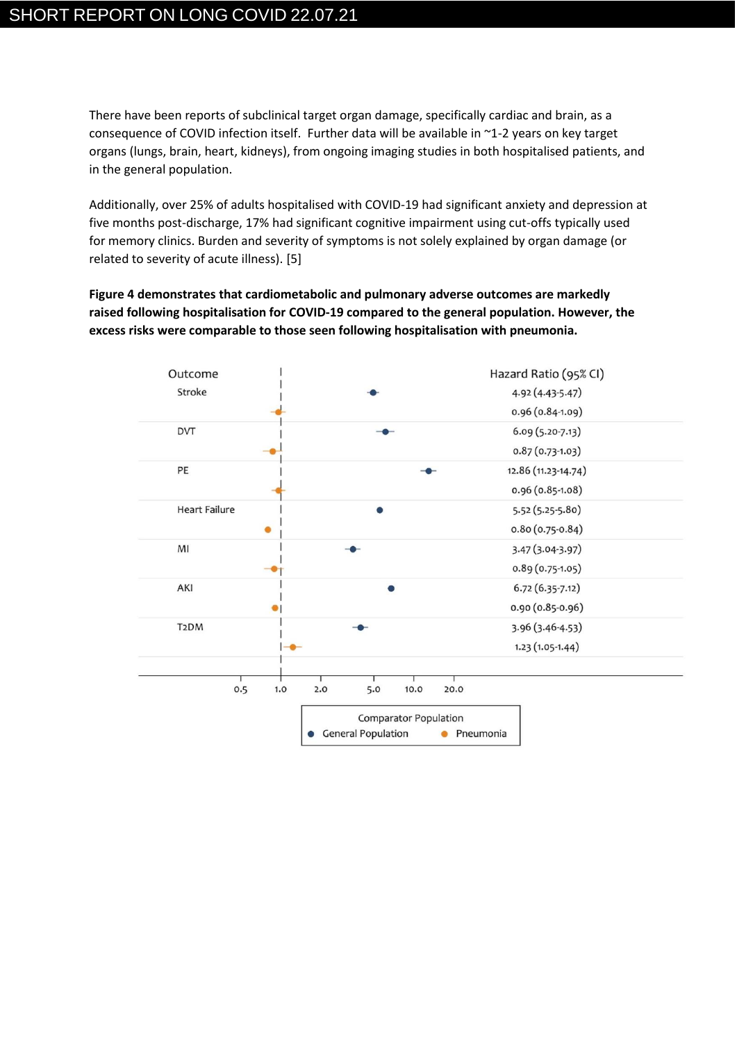There have been reports of subclinical target organ damage, specifically cardiac and brain, as a consequence of COVID infection itself. Further data will be available in ~1-2 years on key target organs (lungs, brain, heart, kidneys), from ongoing imaging studies in both hospitalised patients, and in the general population.

Additionally, over 25% of adults hospitalised with COVID-19 had significant anxiety and depression at five months post-discharge, 17% had significant cognitive impairment using cut-offs typically used for memory clinics. Burden and severity of symptoms is not solely explained by organ damage (or related to severity of acute illness). [5]

**Figure 4 demonstrates that cardiometabolic and pulmonary adverse outcomes are markedly raised following hospitalisation for COVID-19 compared to the general population. However, the excess risks were comparable to those seen following hospitalisation with pneumonia.** 

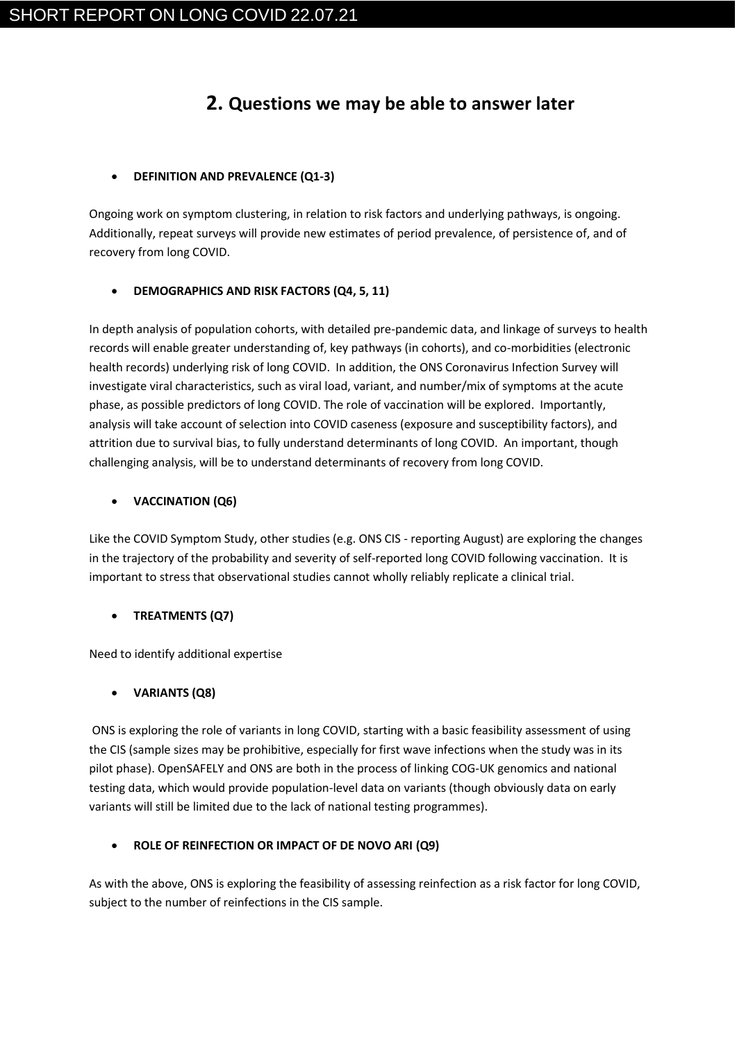# **2. Questions we may be able to answer later**

## • **DEFINITION AND PREVALENCE (Q1-3)**

Ongoing work on symptom clustering, in relation to risk factors and underlying pathways, is ongoing. Additionally, repeat surveys will provide new estimates of period prevalence, of persistence of, and of recovery from long COVID.

## • **DEMOGRAPHICS AND RISK FACTORS (Q4, 5, 11)**

In depth analysis of population cohorts, with detailed pre-pandemic data, and linkage of surveys to health records will enable greater understanding of, key pathways (in cohorts), and co-morbidities (electronic health records) underlying risk of long COVID. In addition, the ONS Coronavirus Infection Survey will investigate viral characteristics, such as viral load, variant, and number/mix of symptoms at the acute phase, as possible predictors of long COVID. The role of vaccination will be explored. Importantly, analysis will take account of selection into COVID caseness (exposure and susceptibility factors), and attrition due to survival bias, to fully understand determinants of long COVID. An important, though challenging analysis, will be to understand determinants of recovery from long COVID.

## • **VACCINATION (Q6)**

Like the COVID Symptom Study, other studies (e.g. ONS CIS - reporting August) are exploring the changes in the trajectory of the probability and severity of self-reported long COVID following vaccination. It is important to stress that observational studies cannot wholly reliably replicate a clinical trial.

# • **TREATMENTS (Q7)**

Need to identify additional expertise

# • **VARIANTS (Q8)**

ONS is exploring the role of variants in long COVID, starting with a basic feasibility assessment of using the CIS (sample sizes may be prohibitive, especially for first wave infections when the study was in its pilot phase). OpenSAFELY and ONS are both in the process of linking COG-UK genomics and national testing data, which would provide population-level data on variants (though obviously data on early variants will still be limited due to the lack of national testing programmes).

## • **ROLE OF REINFECTION OR IMPACT OF DE NOVO ARI (Q9)**

As with the above, ONS is exploring the feasibility of assessing reinfection as a risk factor for long COVID, subject to the number of reinfections in the CIS sample.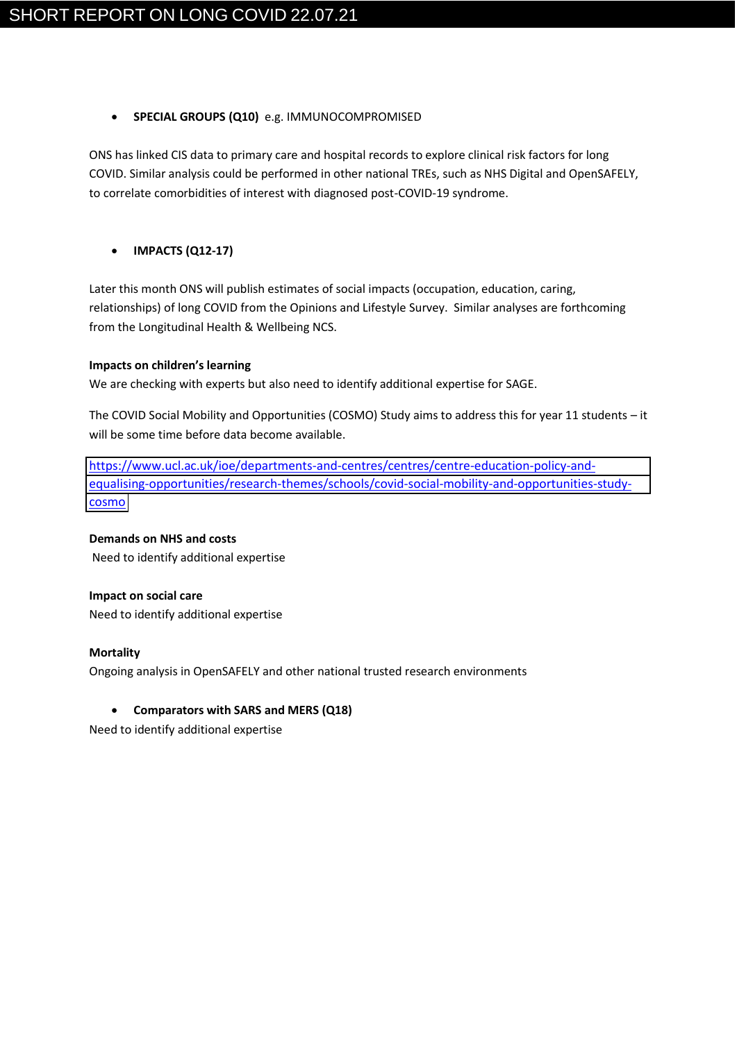### • **SPECIAL GROUPS (Q10)** e.g. IMMUNOCOMPROMISED

ONS has linked CIS data to primary care and hospital records to explore clinical risk factors for long COVID. Similar analysis could be performed in other national TREs, such as NHS Digital and OpenSAFELY, to correlate comorbidities of interest with diagnosed post-COVID-19 syndrome.

## • **IMPACTS (Q12-17)**

Later this month ONS will publish estimates of social impacts (occupation, education, caring, relationships) of long COVID from the Opinions and Lifestyle Survey. Similar analyses are forthcoming from the Longitudinal Health & Wellbeing NCS.

### **Impacts on children's learning**

We are checking with experts but also need to identify additional expertise for SAGE.

The COVID Social Mobility and Opportunities (COSMO) Study aims to address this for year 11 students – it will be some time before data become available.

[https://www.ucl.ac.uk/ioe/departments-and-centres/centres/centre-education-policy-and](https://www.ucl.ac.uk/ioe/departments-and-centres/centres/centre-education-policy-and-equalising-opportunities/research-themes/schools/covid-social-mobility-and-opportunities-study-cosmo)[equalising-opportunities/research-themes/schools/covid-social-mobility-and-opportunities-study](https://www.ucl.ac.uk/ioe/departments-and-centres/centres/centre-education-policy-and-equalising-opportunities/research-themes/schools/covid-social-mobility-and-opportunities-study-cosmo)[cosmo](https://www.ucl.ac.uk/ioe/departments-and-centres/centres/centre-education-policy-and-equalising-opportunities/research-themes/schools/covid-social-mobility-and-opportunities-study-cosmo)

**Demands on NHS and costs** Need to identify additional expertise

**Impact on social care** Need to identify additional expertise

### **Mortality**

Ongoing analysis in OpenSAFELY and other national trusted research environments

## • **Comparators with SARS and MERS (Q18)**

Need to identify additional expertise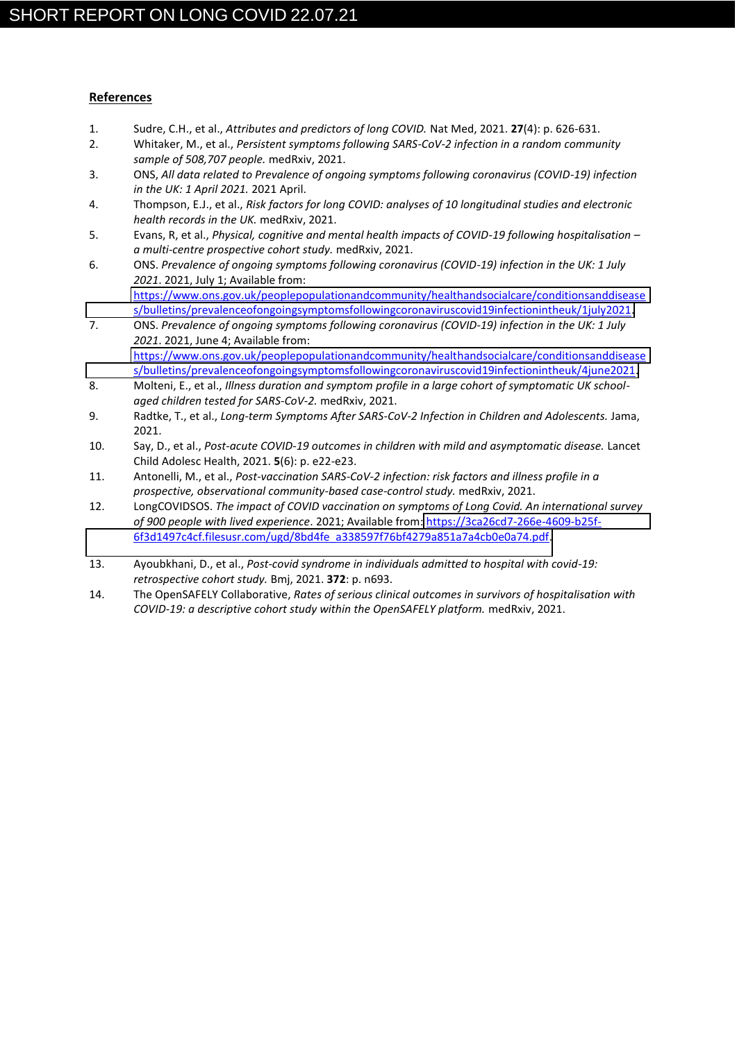### **References**

- 1. Sudre, C.H., et al., *Attributes and predictors of long COVID.* Nat Med, 2021. **27**(4): p. 626-631.
- 2. Whitaker, M., et al., *Persistent symptoms following SARS-CoV-2 infection in a random community sample of 508,707 people.* medRxiv, 2021.
- 3. ONS, *All data related to Prevalence of ongoing symptoms following coronavirus (COVID-19) infection in the UK: 1 April 2021.* 2021 April.
- 4. Thompson, E.J., et al., *Risk factors for long COVID: analyses of 10 longitudinal studies and electronic health records in the UK.* medRxiv, 2021.
- 5. Evans, R, et al., *Physical, cognitive and mental health impacts of COVID-19 following hospitalisation – a multi-centre prospective cohort study.* medRxiv, 2021.
- 6. ONS. *Prevalence of ongoing symptoms following coronavirus (COVID-19) infection in the UK: 1 July 2021*. 2021, July 1; Available from: [https://www.ons.gov.uk/peoplepopulationandcommunity/healthandsocialcare/conditionsanddisease](https://www.ons.gov.uk/peoplepopulationandcommunity/healthandsocialcare/conditionsanddiseases/bulletins/prevalenceofongoingsymptomsfollowingcoronaviruscovid19infectionintheuk/1july2021) [s/bulletins/prevalenceofongoingsymptomsfollowingcoronaviruscovid19infectionintheuk/1july2021.](https://www.ons.gov.uk/peoplepopulationandcommunity/healthandsocialcare/conditionsanddiseases/bulletins/prevalenceofongoingsymptomsfollowingcoronaviruscovid19infectionintheuk/1july2021)
- 7. ONS. *Prevalence of ongoing symptoms following coronavirus (COVID-19) infection in the UK: 1 July 2021*. 2021, June 4; Available from: [https://www.ons.gov.uk/peoplepopulationandcommunity/healthandsocialcare/conditionsanddisease](https://www.ons.gov.uk/peoplepopulationandcommunity/healthandsocialcare/conditionsanddiseases/bulletins/prevalenceofongoingsymptomsfollowingcoronaviruscovid19infectionintheuk/4june2021) [s/bulletins/prevalenceofongoingsymptomsfollowingcoronaviruscovid19infectionintheuk/4june2021.](https://www.ons.gov.uk/peoplepopulationandcommunity/healthandsocialcare/conditionsanddiseases/bulletins/prevalenceofongoingsymptomsfollowingcoronaviruscovid19infectionintheuk/4june2021)
- 8. Molteni, E., et al., *Illness duration and symptom profile in a large cohort of symptomatic UK schoolaged children tested for SARS-CoV-2.* medRxiv, 2021.
- 9. Radtke, T., et al., *Long-term Symptoms After SARS-CoV-2 Infection in Children and Adolescents.* Jama, 2021.
- 10. Say, D., et al., *Post-acute COVID-19 outcomes in children with mild and asymptomatic disease.* Lancet Child Adolesc Health, 2021. **5**(6): p. e22-e23.
- 11. Antonelli, M., et al., *Post-vaccination SARS-CoV-2 infection: risk factors and illness profile in a prospective, observational community-based case-control study.* medRxiv, 2021.
- 12. LongCOVIDSOS. *The impact of COVID vaccination on symptoms of Long Covid. An international survey of 900 people with lived experience*. 2021; Available from[: https://3ca26cd7-266e-4609-b25f-](https://3ca26cd7-266e-4609-b25f-6f3d1497c4cf.filesusr.com/ugd/8bd4fe_a338597f76bf4279a851a7a4cb0e0a74.pdf)[6f3d1497c4cf.filesusr.com/ugd/8bd4fe\\_a338597f76bf4279a851a7a4cb0e0a74.pdf.](https://3ca26cd7-266e-4609-b25f-6f3d1497c4cf.filesusr.com/ugd/8bd4fe_a338597f76bf4279a851a7a4cb0e0a74.pdf)
- 13. Ayoubkhani, D., et al., *Post-covid syndrome in individuals admitted to hospital with covid-19: retrospective cohort study.* Bmj, 2021. **372**: p. n693.
- 14. The OpenSAFELY Collaborative, *Rates of serious clinical outcomes in survivors of hospitalisation with COVID-19: a descriptive cohort study within the OpenSAFELY platform.* medRxiv, 2021.